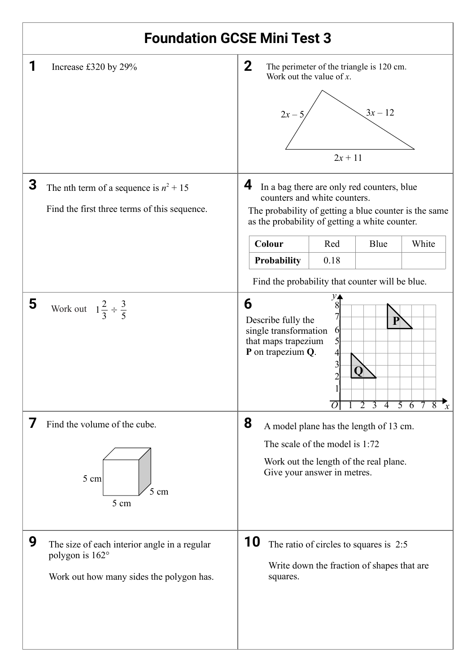## **Foundation GCSE Mini Test 3**

|   | Increase £320 by 29%                                                                                        | $\mathbf{2}$<br>The perimeter of the triangle is 120 cm.<br>Work out the value of $x$ .<br>$3x - 12$<br>$2x - 3$<br>$2x + 11$                                                                                                                                                                          |  |  |  |
|---|-------------------------------------------------------------------------------------------------------------|--------------------------------------------------------------------------------------------------------------------------------------------------------------------------------------------------------------------------------------------------------------------------------------------------------|--|--|--|
| 3 | The nth term of a sequence is $n^2 + 15$<br>Find the first three terms of this sequence.                    | 4<br>In a bag there are only red counters, blue<br>counters and white counters.<br>The probability of getting a blue counter is the same<br>as the probability of getting a white counter.<br>Colour<br>Red<br>Blue<br>White<br>Probability<br>0.18<br>Find the probability that counter will be blue. |  |  |  |
| 5 | Work out $1\frac{2}{3} \div \frac{3}{5}$                                                                    | 6<br>8<br>Describe fully the<br>single transformation<br>6<br>that maps trapezium<br>P on trapezium Q.<br>4<br>3<br>O<br>0 1 2 3 4 5 6 7 8<br>$\mathbf{x}$                                                                                                                                             |  |  |  |
|   | Find the volume of the cube.<br>5 cm<br>5 cm<br>5 cm                                                        | 8<br>A model plane has the length of 13 cm.<br>The scale of the model is 1:72<br>Work out the length of the real plane.<br>Give your answer in metres.                                                                                                                                                 |  |  |  |
| 9 | The size of each interior angle in a regular<br>polygon is 162°<br>Work out how many sides the polygon has. | 10<br>The ratio of circles to squares is 2:5<br>Write down the fraction of shapes that are<br>squares.                                                                                                                                                                                                 |  |  |  |